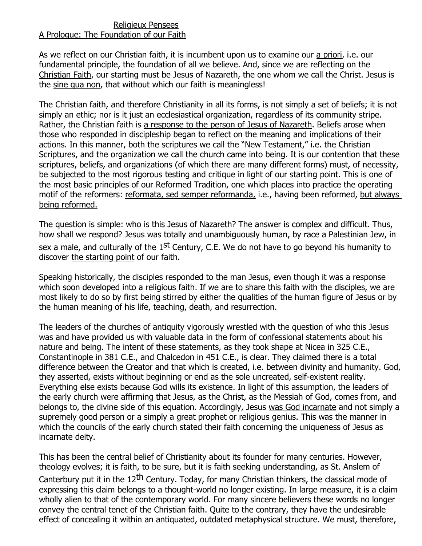## Religieux Pensees A Prologue: The Foundation of our Faith

As we reflect on our Christian faith, it is incumbent upon us to examine our a priori, i.e. our fundamental principle, the foundation of all we believe. And, since we are reflecting on the Christian Faith, our starting must be Jesus of Nazareth, the one whom we call the Christ. Jesus is the sine qua non, that without which our faith is meaningless!

The Christian faith, and therefore Christianity in all its forms, is not simply a set of beliefs; it is not simply an ethic; nor is it just an ecclesiastical organization, regardless of its community stripe. Rather, the Christian faith is a response to the person of Jesus of Nazareth. Beliefs arose when those who responded in discipleship began to reflect on the meaning and implications of their actions. In this manner, both the scriptures we call the "New Testament," i.e. the Christian Scriptures, and the organization we call the church came into being. It is our contention that these scriptures, beliefs, and organizations (of which there are many different forms) must, of necessity, be subjected to the most rigorous testing and critique in light of our starting point. This is one of the most basic principles of our Reformed Tradition, one which places into practice the operating motif of the reformers: reformata, sed semper reformanda, i.e., having been reformed, but always being reformed.

The question is simple: who is this Jesus of Nazareth? The answer is complex and difficult. Thus, how shall we respond? Jesus was totally and unambiguously human, by race a Palestinian Jew, in sex a male, and culturally of the  $1<sup>st</sup>$  Century, C.E. We do not have to go beyond his humanity to discover the starting point of our faith.

Speaking historically, the disciples responded to the man Jesus, even though it was a response which soon developed into a religious faith. If we are to share this faith with the disciples, we are most likely to do so by first being stirred by either the qualities of the human figure of Jesus or by the human meaning of his life, teaching, death, and resurrection.

The leaders of the churches of antiquity vigorously wrestled with the question of who this Jesus was and have provided us with valuable data in the form of confessional statements about his nature and being. The intent of these statements, as they took shape at Nicea in 325 C.E., Constantinople in 381 C.E., and Chalcedon in 451 C.E., is clear. They claimed there is a total difference between the Creator and that which is created, i.e. between divinity and humanity. God, they asserted, exists without beginning or end as the sole uncreated, self-existent reality. Everything else exists because God wills its existence. In light of this assumption, the leaders of the early church were affirming that Jesus, as the Christ, as the Messiah of God, comes from, and belongs to, the divine side of this equation. Accordingly, Jesus was God incarnate and not simply a supremely good person or a simply a great prophet or religious genius. This was the manner in which the councils of the early church stated their faith concerning the uniqueness of Jesus as incarnate deity.

This has been the central belief of Christianity about its founder for many centuries. However, theology evolves; it is faith, to be sure, but it is faith seeking understanding, as St. Anslem of Canterbury put it in the 12<sup>th</sup> Century. Today, for many Christian thinkers, the classical mode of expressing this claim belongs to a thought-world no longer existing. In large measure, it is a claim wholly alien to that of the contemporary world. For many sincere believers these words no longer convey the central tenet of the Christian faith. Quite to the contrary, they have the undesirable effect of concealing it within an antiquated, outdated metaphysical structure. We must, therefore,